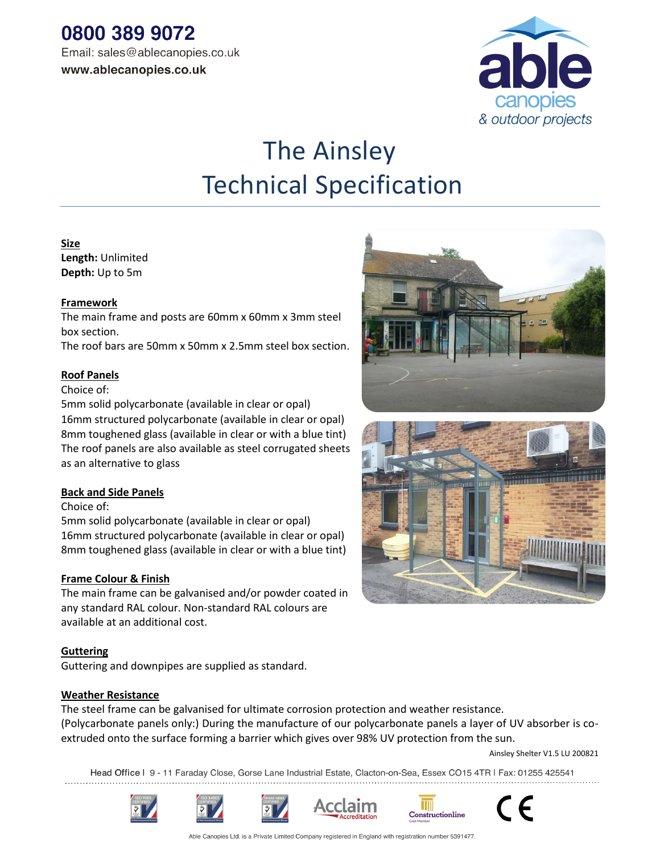

# The Ainsley Technical Specification

## **Size**

**Length:** Unlimited **Depth:** Up to 5m

## **Framework**

The main frame and posts are 60mm x 60mm x 3mm steel box section.

The roof bars are 50mm x 50mm x 2.5mm steel box section.

# **Roof Panels**

#### Choice of:

5mm solid polycarbonate (available in clear or opal)

16mm structured polycarbonate (available in clear or opal) 8mm toughened glass (available in clear or with a blue tint) The roof panels are also available as steel corrugated sheets as an alternative to glass

### **Back and Side Panels**

### Choice of:

5mm solid polycarbonate (available in clear or opal) 16mm structured polycarbonate (available in clear or opal) 8mm toughened glass (available in clear or with a blue tint)

### **Frame Colour & Finish**

The main frame can be galvanised and/or powder coated in any standard RAL colour. Non-standard RAL colours are available at an additional cost.

### **Guttering**

Guttering and downpipes are supplied as standard.

### **Weather Resistance**

The steel frame can be galvanised for ultimate corrosion protection and weather resistance. (Polycarbonate panels only:) During the manufacture of our polycarbonate panels a layer of UV absorber is coextruded onto the surface forming a barrier which gives over 98% UV protection from the sun.

Ainsley Shelter V1.5 LU 200821

Head Office I 9 - 11 Faraday Close, Gorse Lane Industrial Estate, Clacton-on-Sea, Essex CO15 4TR I Fax: 01255 425541